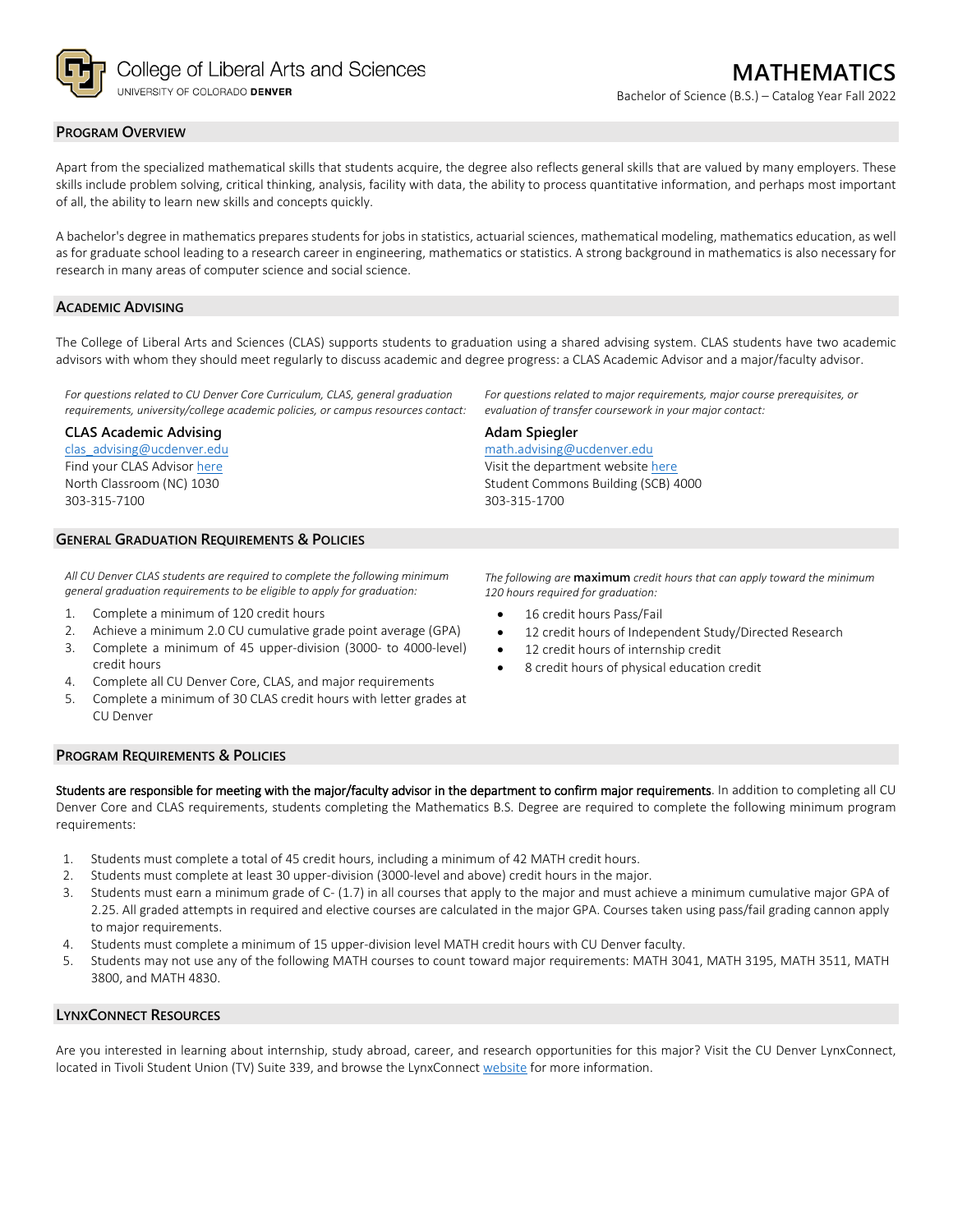

### **PROGRAM OVERVIEW**

Apart from the specialized mathematical skills that students acquire, the degree also reflects general skills that are valued by many employers. These skills include problem solving, critical thinking, analysis, facility with data, the ability to process quantitative information, and perhaps most important of all, the ability to learn new skills and concepts quickly.

A bachelor's degree in mathematics prepares students for jobs in statistics, actuarial sciences, mathematical modeling, mathematics education, as well as for graduate school leading to a research career in engineering, mathematics or statistics. A strong background in mathematics is also necessary for research in many areas of computer science and social science.

### **ACADEMIC ADVISING**

The College of Liberal Arts and Sciences (CLAS) supports students to graduation using a shared advising system. CLAS students have two academic advisors with whom they should meet regularly to discuss academic and degree progress: a CLAS Academic Advisor and a major/faculty advisor.

**Adam Spiegler**

303-315-1700

*For questions related to CU Denver Core Curriculum, CLAS, general graduation requirements, university/college academic policies, or campus resources contact:*

#### **CLAS Academic Advising**

[clas\\_advising@ucdenver.edu](mailto:clas_advising@ucdenver.edu) Find your CLAS Adviso[r here](https://clas.ucdenver.edu/advising/) North Classroom (NC) 1030 303-315-7100

## **GENERAL GRADUATION REQUIREMENTS & POLICIES**

*All CU Denver CLAS students are required to complete the following minimum general graduation requirements to be eligible to apply for graduation:*

- 1. Complete a minimum of 120 credit hours
- 2. Achieve a minimum 2.0 CU cumulative grade point average (GPA)
- 3. Complete a minimum of 45 upper-division (3000- to 4000-level) credit hours
- 4. Complete all CU Denver Core, CLAS, and major requirements
- 5. Complete a minimum of 30 CLAS credit hours with letter grades at CU Denver

#### **PROGRAM REQUIREMENTS & POLICIES**

Students are responsible for meeting with the major/faculty advisor in the department to confirm major requirements. In addition to completing all CU Denver Core and CLAS requirements, students completing the Mathematics B.S. Degree are required to complete the following minimum program requirements:

- 1. Students must complete a total of 45 credit hours, including a minimum of 42 MATH credit hours.
- 2. Students must complete at least 30 upper-division (3000-level and above) credit hours in the major.
- 3. Students must earn a minimum grade of C- (1.7) in all courses that apply to the major and must achieve a minimum cumulative major GPA of 2.25. All graded attempts in required and elective courses are calculated in the major GPA. Courses taken using pass/fail grading cannon apply to major requirements.
- 4. Students must complete a minimum of 15 upper-division level MATH credit hours with CU Denver faculty.
- 5. Students may not use any of the following MATH courses to count toward major requirements: MATH 3041, MATH 3195, MATH 3511, MATH 3800, and MATH 4830.

### **LYNXCONNECT RESOURCES**

Are you interested in learning about internship, study abroad, career, and research opportunities for this major? Visit the CU Denver LynxConnect, located in Tivoli Student Union (TV) Suite 339, and browse the LynxConnec[t website](http://www.ucdenver.edu/lynxconnect/Pages/default.aspx) for more information.

*The following are* **maximum** *credit hours that can apply toward the minimum* 

*For questions related to major requirements, major course prerequisites, or* 

*evaluation of transfer coursework in your major contact:*

*120 hours required for graduation:* 16 credit hours Pass/Fail

[math.advising@ucdenver.edu](mailto:math.advising@ucdenver.edu) Visit the department websit[e here](https://clas.ucdenver.edu/mathematical-and-statistical-sciences/) Student Commons Building (SCB) 4000

- 12 credit hours of Independent Study/Directed Research
- 12 credit hours of internship credit
- 8 credit hours of physical education credit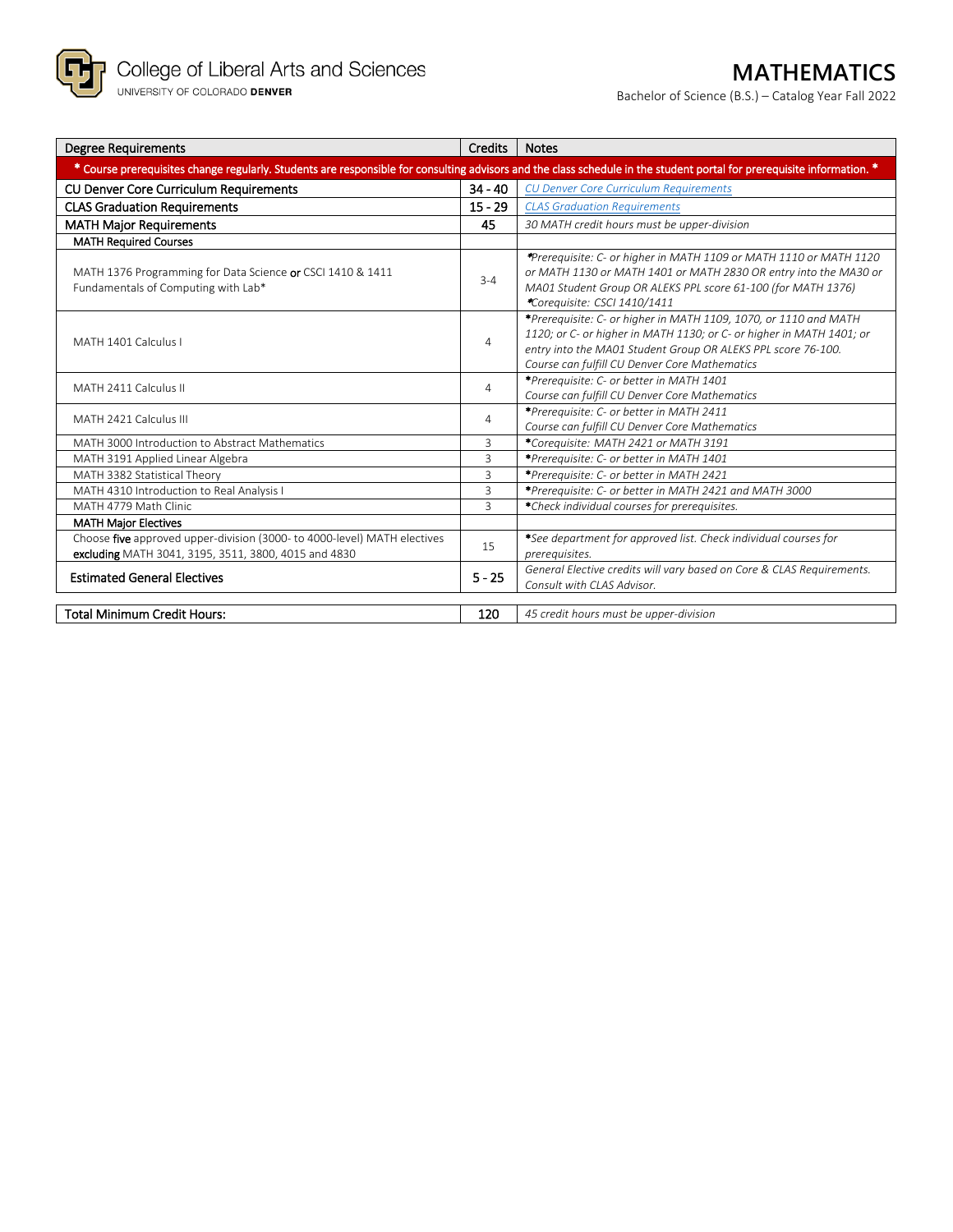

Bachelor of Science (B.S.) – Catalog Year Fall 2022

| <b>Degree Requirements</b>                                                                                                                                             | Credits        | <b>Notes</b>                                                                                                                                                                                                                                              |  |  |  |
|------------------------------------------------------------------------------------------------------------------------------------------------------------------------|----------------|-----------------------------------------------------------------------------------------------------------------------------------------------------------------------------------------------------------------------------------------------------------|--|--|--|
| * Course prerequisites change regularly. Students are responsible for consulting advisors and the class schedule in the student portal for prerequisite information. * |                |                                                                                                                                                                                                                                                           |  |  |  |
| <b>CU Denver Core Curriculum Requirements</b>                                                                                                                          | $34 - 40$      | <b>CU Denver Core Curriculum Requirements</b>                                                                                                                                                                                                             |  |  |  |
| <b>CLAS Graduation Requirements</b>                                                                                                                                    | $15 - 29$      | <b>CLAS Graduation Requirements</b>                                                                                                                                                                                                                       |  |  |  |
| <b>MATH Major Requirements</b>                                                                                                                                         | 45             | 30 MATH credit hours must be upper-division                                                                                                                                                                                                               |  |  |  |
| <b>MATH Required Courses</b>                                                                                                                                           |                |                                                                                                                                                                                                                                                           |  |  |  |
| MATH 1376 Programming for Data Science or CSCI 1410 & 1411<br>Fundamentals of Computing with Lab*                                                                      | $3 - 4$        | *Prerequisite: C- or higher in MATH 1109 or MATH 1110 or MATH 1120<br>or MATH 1130 or MATH 1401 or MATH 2830 OR entry into the MA30 or<br>MA01 Student Group OR ALEKS PPL score 61-100 (for MATH 1376)<br>*Corequisite: CSCI 1410/1411                    |  |  |  |
| MATH 1401 Calculus I                                                                                                                                                   | $\overline{4}$ | *Prerequisite: C- or higher in MATH 1109, 1070, or 1110 and MATH<br>1120; or C- or higher in MATH 1130; or C- or higher in MATH 1401; or<br>entry into the MA01 Student Group OR ALEKS PPL score 76-100.<br>Course can fulfill CU Denver Core Mathematics |  |  |  |
| MATH 2411 Calculus II                                                                                                                                                  | 4              | *Prerequisite: C- or better in MATH 1401<br>Course can fulfill CU Denver Core Mathematics                                                                                                                                                                 |  |  |  |
| MATH 2421 Calculus III                                                                                                                                                 | 4              | *Prerequisite: C- or better in MATH 2411<br>Course can fulfill CU Denver Core Mathematics                                                                                                                                                                 |  |  |  |
| MATH 3000 Introduction to Abstract Mathematics                                                                                                                         | 3              | *Corequisite: MATH 2421 or MATH 3191                                                                                                                                                                                                                      |  |  |  |
| MATH 3191 Applied Linear Algebra                                                                                                                                       | 3              | *Prerequisite: C- or better in MATH 1401                                                                                                                                                                                                                  |  |  |  |
| MATH 3382 Statistical Theory                                                                                                                                           | 3              | *Prerequisite: C- or better in MATH 2421                                                                                                                                                                                                                  |  |  |  |
| MATH 4310 Introduction to Real Analysis I                                                                                                                              | 3              | *Prerequisite: C- or better in MATH 2421 and MATH 3000                                                                                                                                                                                                    |  |  |  |
| MATH 4779 Math Clinic                                                                                                                                                  | 3              | *Check individual courses for prerequisites.                                                                                                                                                                                                              |  |  |  |
| <b>MATH Major Electives</b>                                                                                                                                            |                |                                                                                                                                                                                                                                                           |  |  |  |
| Choose five approved upper-division (3000- to 4000-level) MATH electives<br>excluding MATH 3041, 3195, 3511, 3800, 4015 and 4830                                       | 15             | *See department for approved list. Check individual courses for<br>prerequisites.                                                                                                                                                                         |  |  |  |
| <b>Estimated General Electives</b>                                                                                                                                     | $5 - 25$       | General Elective credits will vary based on Core & CLAS Requirements.<br>Consult with CLAS Advisor.                                                                                                                                                       |  |  |  |
| <b>Total Minimum Credit Hours:</b>                                                                                                                                     | 120            | 45 credit hours must be upper-division                                                                                                                                                                                                                    |  |  |  |